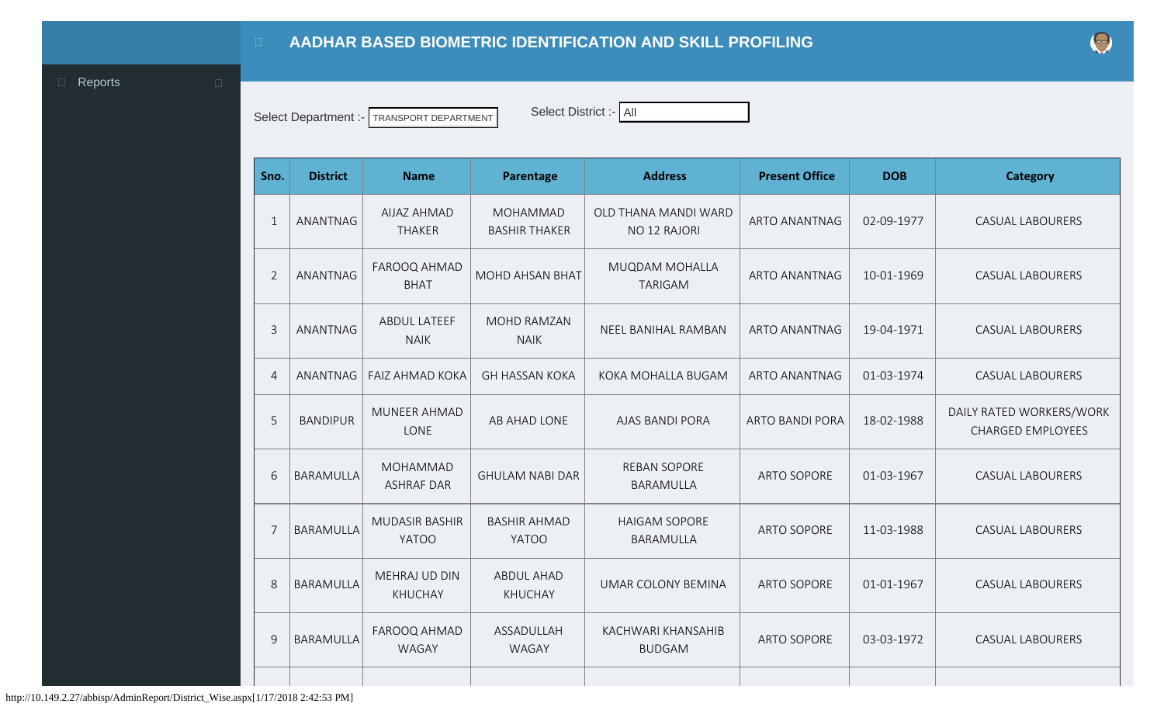<span id="page-0-0"></span>

Select Department :- TRANSPORT DEPARTMENT Select District :- All

| Sno.           | <b>District</b>  | <b>Name</b>                           | Parentage                           | <b>Address</b>                           | <b>Present Office</b>  | <b>DOB</b> | <b>Category</b>                                      |
|----------------|------------------|---------------------------------------|-------------------------------------|------------------------------------------|------------------------|------------|------------------------------------------------------|
| $\mathbf{1}$   | ANANTNAG         | <b>AIJAZ AHMAD</b><br><b>THAKER</b>   | MOHAMMAD<br><b>BASHIR THAKER</b>    | OLD THANA MANDI WARD<br>NO 12 RAJORI     | <b>ARTO ANANTNAG</b>   | 02-09-1977 | <b>CASUAL LABOURERS</b>                              |
| $\overline{2}$ | ANANTNAG         | FAROOQ AHMAD<br><b>BHAT</b>           | <b>MOHD AHSAN BHAT</b>              | <b>MUQDAM MOHALLA</b><br><b>TARIGAM</b>  | <b>ARTO ANANTNAG</b>   | 10-01-1969 | <b>CASUAL LABOURERS</b>                              |
| $\overline{3}$ | ANANTNAG         | ABDUL LATEEF<br><b>NAIK</b>           | <b>MOHD RAMZAN</b><br><b>NAIK</b>   | NEEL BANIHAL RAMBAN                      | <b>ARTO ANANTNAG</b>   | 19-04-1971 | <b>CASUAL LABOURERS</b>                              |
| $\overline{4}$ | ANANTNAG         | <b>FAIZ AHMAD KOKA</b>                | <b>GH HASSAN KOKA</b>               | KOKA MOHALLA BUGAM                       | <b>ARTO ANANTNAG</b>   | 01-03-1974 | <b>CASUAL LABOURERS</b>                              |
| 5              | <b>BANDIPUR</b>  | MUNEER AHMAD<br>LONE                  | AB AHAD LONE                        | <b>AJAS BANDI PORA</b>                   | <b>ARTO BANDI PORA</b> | 18-02-1988 | DAILY RATED WORKERS/WORK<br><b>CHARGED EMPLOYEES</b> |
| 6              | <b>BARAMULLA</b> | <b>MOHAMMAD</b><br><b>ASHRAF DAR</b>  | <b>GHULAM NABI DAR</b>              | <b>REBAN SOPORE</b><br><b>BARAMULLA</b>  | <b>ARTO SOPORE</b>     | 01-03-1967 | <b>CASUAL LABOURERS</b>                              |
| $\overline{7}$ | <b>BARAMULLA</b> | <b>MUDASIR BASHIR</b><br><b>YATOO</b> | <b>BASHIR AHMAD</b><br><b>YATOO</b> | <b>HAIGAM SOPORE</b><br><b>BARAMULLA</b> | <b>ARTO SOPORE</b>     | 11-03-1988 | <b>CASUAL LABOURERS</b>                              |
| 8              | <b>BARAMULLA</b> | MEHRAJ UD DIN<br><b>KHUCHAY</b>       | <b>ABDUL AHAD</b><br><b>KHUCHAY</b> | <b>UMAR COLONY BEMINA</b>                | <b>ARTO SOPORE</b>     | 01-01-1967 | <b>CASUAL LABOURERS</b>                              |
| 9              | <b>BARAMULLA</b> | FAROOQ AHMAD<br>WAGAY                 | ASSADULLAH<br>WAGAY                 | KACHWARI KHANSAHIB<br><b>BUDGAM</b>      | <b>ARTO SOPORE</b>     | 03-03-1972 | <b>CASUAL LABOURERS</b>                              |
|                |                  |                                       |                                     |                                          |                        |            |                                                      |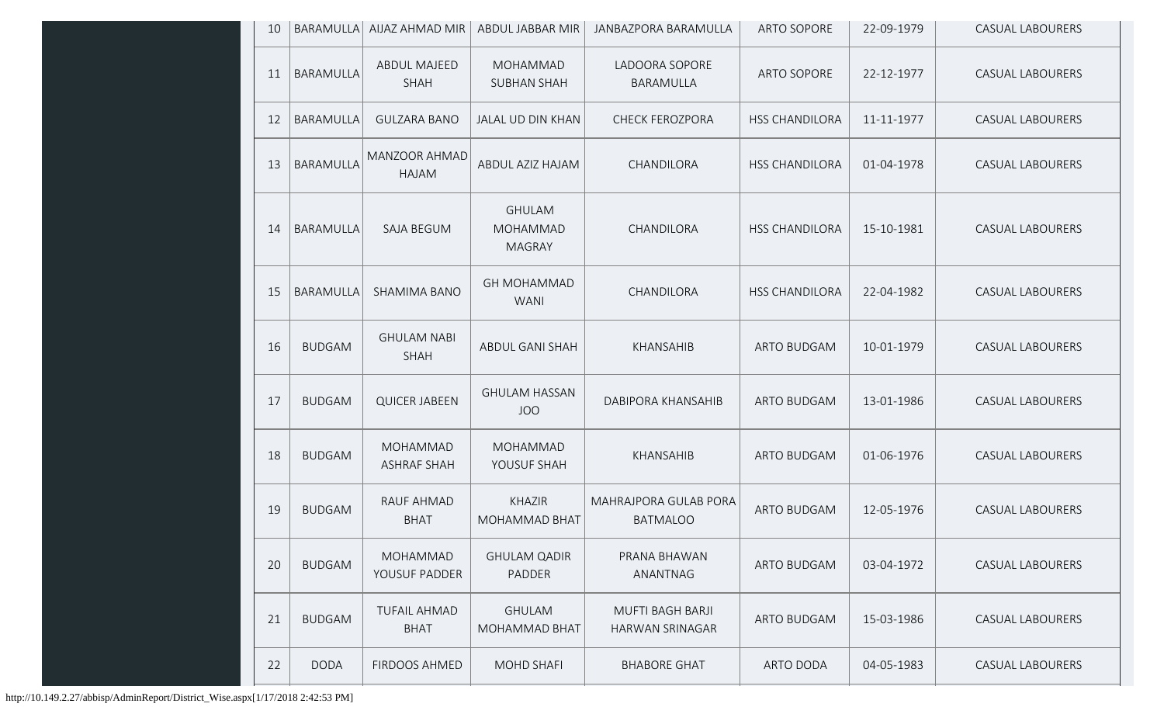| 10 | <b>BARAMULLA</b> | AIJAZ AHMAD MIR                    | ABDUL JABBAR MIR                           | JANBAZPORA BARAMULLA                              | <b>ARTO SOPORE</b>    | 22-09-1979 | <b>CASUAL LABOURERS</b> |
|----|------------------|------------------------------------|--------------------------------------------|---------------------------------------------------|-----------------------|------------|-------------------------|
| 11 | BARAMULLA        | <b>ABDUL MAJEED</b><br>SHAH        | <b>MOHAMMAD</b><br><b>SUBHAN SHAH</b>      | LADOORA SOPORE<br>BARAMULLA                       | <b>ARTO SOPORE</b>    | 22-12-1977 | <b>CASUAL LABOURERS</b> |
| 12 | BARAMULLA        | <b>GULZARA BANO</b>                | JALAL UD DIN KHAN                          | <b>CHECK FEROZPORA</b>                            | <b>HSS CHANDILORA</b> | 11-11-1977 | <b>CASUAL LABOURERS</b> |
| 13 | <b>BARAMULLA</b> | <b>MANZOOR AHMAD</b><br>HAJAM      | ABDUL AZIZ HAJAM                           | CHANDILORA                                        | <b>HSS CHANDILORA</b> | 01-04-1978 | <b>CASUAL LABOURERS</b> |
| 14 | BARAMULLA        | <b>SAJA BEGUM</b>                  | <b>GHULAM</b><br>MOHAMMAD<br><b>MAGRAY</b> | CHANDILORA                                        | <b>HSS CHANDILORA</b> | 15-10-1981 | <b>CASUAL LABOURERS</b> |
| 15 | BARAMULLA        | SHAMIMA BANO                       | <b>GH MOHAMMAD</b><br><b>WANI</b>          | CHANDILORA                                        | <b>HSS CHANDILORA</b> | 22-04-1982 | <b>CASUAL LABOURERS</b> |
| 16 | <b>BUDGAM</b>    | <b>GHULAM NABI</b><br><b>SHAH</b>  | <b>ABDUL GANI SHAH</b>                     | KHANSAHIB                                         | <b>ARTO BUDGAM</b>    | 10-01-1979 | <b>CASUAL LABOURERS</b> |
| 17 | <b>BUDGAM</b>    | <b>QUICER JABEEN</b>               | <b>GHULAM HASSAN</b><br><b>JOO</b>         | DABIPORA KHANSAHIB                                | <b>ARTO BUDGAM</b>    | 13-01-1986 | <b>CASUAL LABOURERS</b> |
| 18 | <b>BUDGAM</b>    | MOHAMMAD<br><b>ASHRAF SHAH</b>     | MOHAMMAD<br>YOUSUF SHAH                    | KHANSAHIB                                         | <b>ARTO BUDGAM</b>    | 01-06-1976 | <b>CASUAL LABOURERS</b> |
| 19 | <b>BUDGAM</b>    | RAUF AHMAD<br><b>BHAT</b>          | <b>KHAZIR</b><br>MOHAMMAD BHAT             | MAHRAJPORA GULAB PORA<br><b>BATMALOO</b>          | <b>ARTO BUDGAM</b>    | 12-05-1976 | <b>CASUAL LABOURERS</b> |
| 20 | <b>BUDGAM</b>    | MOHAMMAD<br>YOUSUF PADDER          | <b>GHULAM QADIR</b><br>PADDER              | PRANA BHAWAN<br>ANANTNAG                          | <b>ARTO BUDGAM</b>    | 03-04-1972 | <b>CASUAL LABOURERS</b> |
| 21 | <b>BUDGAM</b>    | <b>TUFAIL AHMAD</b><br><b>BHAT</b> | <b>GHULAM</b><br>MOHAMMAD BHAT             | <b>MUFTI BAGH BARJI</b><br><b>HARWAN SRINAGAR</b> | ARTO BUDGAM           | 15-03-1986 | <b>CASUAL LABOURERS</b> |
| 22 | <b>DODA</b>      | FIRDOOS AHMED                      | <b>MOHD SHAFI</b>                          | <b>BHABORE GHAT</b>                               | <b>ARTO DODA</b>      | 04-05-1983 | <b>CASUAL LABOURERS</b> |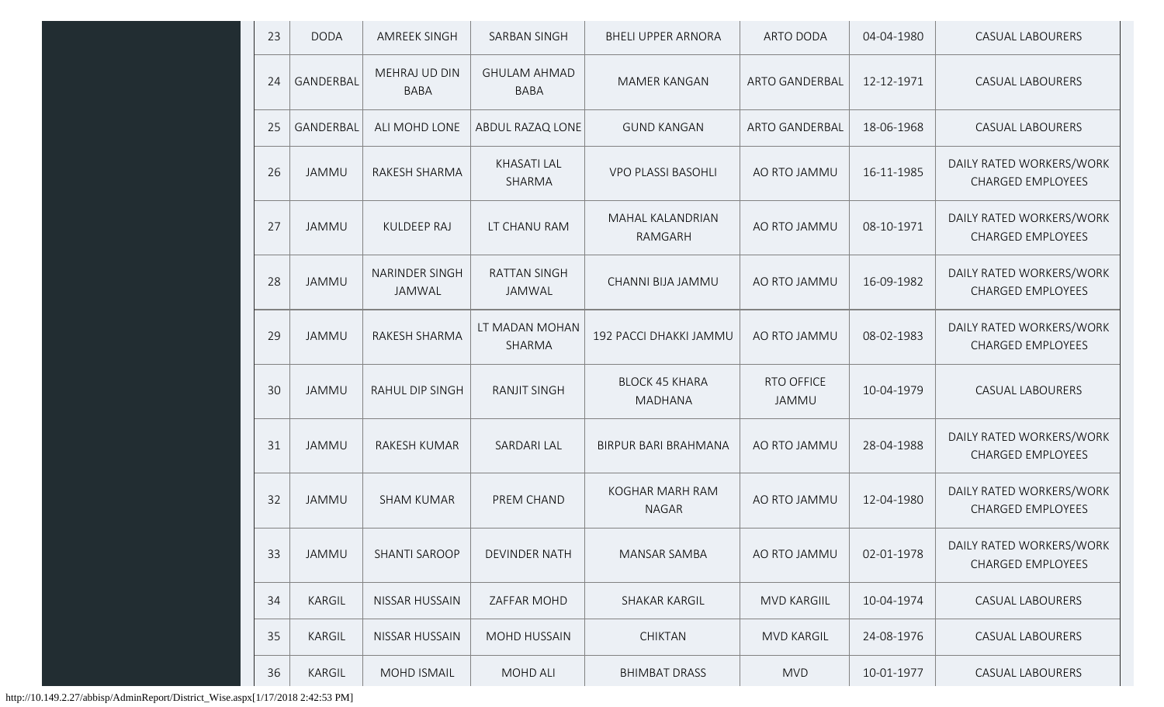| 23 | <b>DODA</b>  | <b>AMREEK SINGH</b>          | SARBAN SINGH                       | <b>BHELI UPPER ARNORA</b>               | ARTO DODA             | 04-04-1980 | <b>CASUAL LABOURERS</b>                              |
|----|--------------|------------------------------|------------------------------------|-----------------------------------------|-----------------------|------------|------------------------------------------------------|
| 24 | GANDERBAL    | MEHRAJ UD DIN<br><b>BABA</b> | <b>GHULAM AHMAD</b><br><b>BABA</b> | MAMER KANGAN                            | <b>ARTO GANDERBAL</b> | 12-12-1971 | <b>CASUAL LABOURERS</b>                              |
| 25 | GANDERBAL    | ALI MOHD LONE                | ABDUL RAZAQ LONE                   | <b>GUND KANGAN</b>                      | <b>ARTO GANDERBAL</b> | 18-06-1968 | <b>CASUAL LABOURERS</b>                              |
| 26 | <b>JAMMU</b> | RAKESH SHARMA                | <b>KHASATI LAL</b><br>SHARMA       | <b>VPO PLASSI BASOHLI</b>               | AO RTO JAMMU          | 16-11-1985 | DAILY RATED WORKERS/WORK<br><b>CHARGED EMPLOYEES</b> |
| 27 | <b>JAMMU</b> | <b>KULDEEP RAJ</b>           | LT CHANU RAM                       | MAHAL KALANDRIAN<br>RAMGARH             | AO RTO JAMMU          | 08-10-1971 | DAILY RATED WORKERS/WORK<br><b>CHARGED EMPLOYEES</b> |
| 28 | <b>JAMMU</b> | NARINDER SINGH<br>JAMWAL     | <b>RATTAN SINGH</b><br>JAMWAL      | CHANNI BIJA JAMMU                       | AO RTO JAMMU          | 16-09-1982 | DAILY RATED WORKERS/WORK<br><b>CHARGED EMPLOYEES</b> |
| 29 | <b>JAMMU</b> | RAKESH SHARMA                | LT MADAN MOHAN<br>SHARMA           | 192 PACCI DHAKKI JAMMU                  | AO RTO JAMMU          | 08-02-1983 | DAILY RATED WORKERS/WORK<br><b>CHARGED EMPLOYEES</b> |
| 30 | <b>JAMMU</b> | RAHUL DIP SINGH              | <b>RANJIT SINGH</b>                | <b>BLOCK 45 KHARA</b><br><b>MADHANA</b> | RTO OFFICE<br>JAMMU   | 10-04-1979 | <b>CASUAL LABOURERS</b>                              |
| 31 | <b>JAMMU</b> | RAKESH KUMAR                 | <b>SARDARI LAL</b>                 | <b>BIRPUR BARI BRAHMANA</b>             | AO RTO JAMMU          | 28-04-1988 | DAILY RATED WORKERS/WORK<br><b>CHARGED EMPLOYEES</b> |
| 32 | <b>JAMMU</b> | <b>SHAM KUMAR</b>            | PREM CHAND                         | KOGHAR MARH RAM<br><b>NAGAR</b>         | AO RTO JAMMU          | 12-04-1980 | DAILY RATED WORKERS/WORK<br><b>CHARGED EMPLOYEES</b> |
| 33 | JAMMU        | <b>SHANTI SAROOP</b>         | <b>DEVINDER NATH</b>               | MANSAR SAMBA                            | AO RTO JAMMU          | 02-01-1978 | DAILY RATED WORKERS/WORK<br><b>CHARGED EMPLOYEES</b> |
| 34 | KARGIL       | NISSAR HUSSAIN               | ZAFFAR MOHD                        | SHAKAR KARGIL                           | <b>MVD KARGIIL</b>    | 10-04-1974 | <b>CASUAL LABOURERS</b>                              |
| 35 | KARGIL       | NISSAR HUSSAIN               | <b>MOHD HUSSAIN</b>                | <b>CHIKTAN</b>                          | <b>MVD KARGIL</b>     | 24-08-1976 | <b>CASUAL LABOURERS</b>                              |
| 36 | KARGIL       | MOHD ISMAIL                  | MOHD ALI                           | <b>BHIMBAT DRASS</b>                    | <b>MVD</b>            | 10-01-1977 | CASUAL LABOURERS                                     |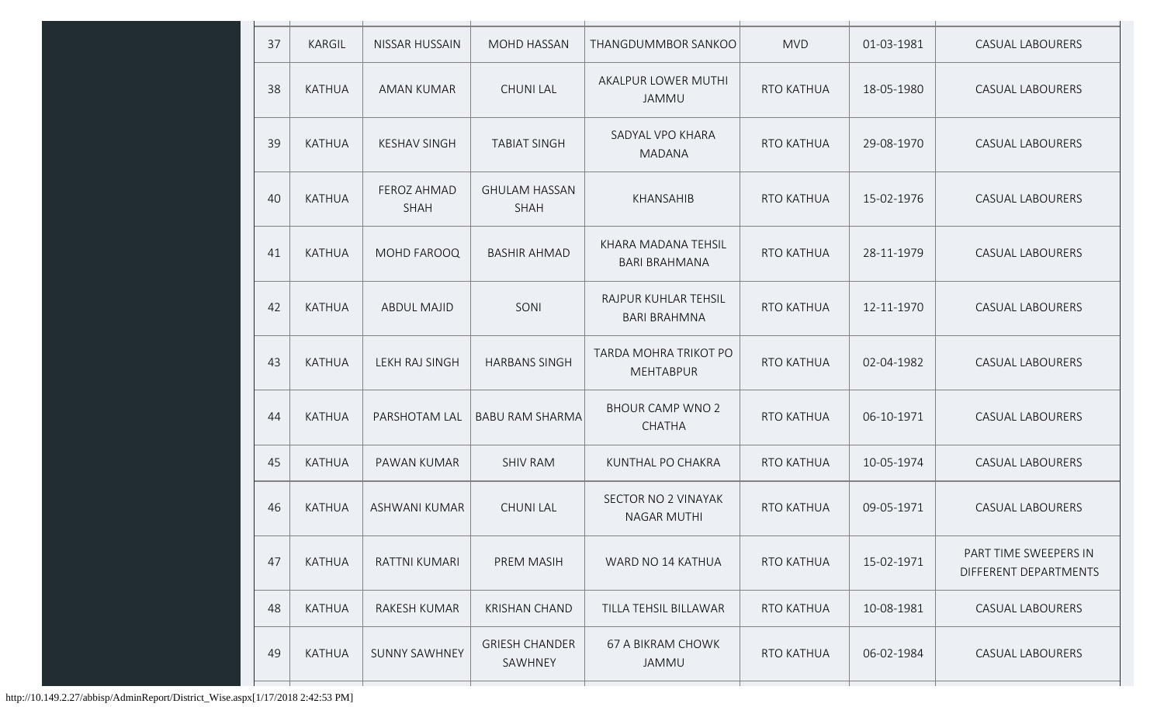| 37 | <b>KARGIL</b> | NISSAR HUSSAIN                    | MOHD HASSAN                      | THANGDUMMBOR SANKOO                         | <b>MVD</b>        | 01-03-1981 | <b>CASUAL LABOURERS</b>                        |
|----|---------------|-----------------------------------|----------------------------------|---------------------------------------------|-------------------|------------|------------------------------------------------|
| 38 | KATHUA        | AMAN KUMAR                        | <b>CHUNI LAL</b>                 | AKALPUR LOWER MUTHI<br>JAMMU                | <b>RTO KATHUA</b> | 18-05-1980 | <b>CASUAL LABOURERS</b>                        |
| 39 | <b>KATHUA</b> | <b>KESHAV SINGH</b>               | <b>TABIAT SINGH</b>              | SADYAL VPO KHARA<br><b>MADANA</b>           | <b>RTO KATHUA</b> | 29-08-1970 | <b>CASUAL LABOURERS</b>                        |
| 40 | <b>KATHUA</b> | <b>FEROZ AHMAD</b><br><b>SHAH</b> | <b>GHULAM HASSAN</b><br>SHAH     | KHANSAHIB                                   | <b>RTO KATHUA</b> | 15-02-1976 | <b>CASUAL LABOURERS</b>                        |
| 41 | <b>KATHUA</b> | MOHD FAROOQ                       | <b>BASHIR AHMAD</b>              | KHARA MADANA TEHSIL<br><b>BARI BRAHMANA</b> | RTO KATHUA        | 28-11-1979 | <b>CASUAL LABOURERS</b>                        |
| 42 | <b>KATHUA</b> | <b>ABDUL MAJID</b>                | SONI                             | RAJPUR KUHLAR TEHSIL<br><b>BARI BRAHMNA</b> | RTO KATHUA        | 12-11-1970 | <b>CASUAL LABOURERS</b>                        |
| 43 | <b>KATHUA</b> | LEKH RAJ SINGH                    | <b>HARBANS SINGH</b>             | TARDA MOHRA TRIKOT PO<br><b>MEHTABPUR</b>   | <b>RTO KATHUA</b> | 02-04-1982 | <b>CASUAL LABOURERS</b>                        |
| 44 | <b>KATHUA</b> | PARSHOTAM LAL                     | <b>BABU RAM SHARMA</b>           | <b>BHOUR CAMP WNO 2</b><br><b>CHATHA</b>    | <b>RTO KATHUA</b> | 06-10-1971 | <b>CASUAL LABOURERS</b>                        |
| 45 | <b>KATHUA</b> | PAWAN KUMAR                       | <b>SHIV RAM</b>                  | KUNTHAL PO CHAKRA                           | <b>RTO KATHUA</b> | 10-05-1974 | <b>CASUAL LABOURERS</b>                        |
| 46 | <b>KATHUA</b> | ASHWANI KUMAR                     | <b>CHUNI LAL</b>                 | SECTOR NO 2 VINAYAK<br><b>NAGAR MUTHI</b>   | <b>RTO KATHUA</b> | 09-05-1971 | <b>CASUAL LABOURERS</b>                        |
| 47 | KATHUA        | RATTNI KUMARI                     | PREM MASIH                       | WARD NO 14 KATHUA                           | RTO KATHUA        | 15-02-1971 | PART TIME SWEEPERS IN<br>DIFFERENT DEPARTMENTS |
| 48 | <b>KATHUA</b> | RAKESH KUMAR                      | <b>KRISHAN CHAND</b>             | TILLA TEHSIL BILLAWAR                       | RTO KATHUA        | 10-08-1981 | <b>CASUAL LABOURERS</b>                        |
| 49 | <b>KATHUA</b> | <b>SUNNY SAWHNEY</b>              | <b>GRIESH CHANDER</b><br>SAWHNEY | 67 A BIKRAM CHOWK<br>JAMMU                  | RTO KATHUA        | 06-02-1984 | <b>CASUAL LABOURERS</b>                        |
|    |               |                                   |                                  |                                             |                   |            |                                                |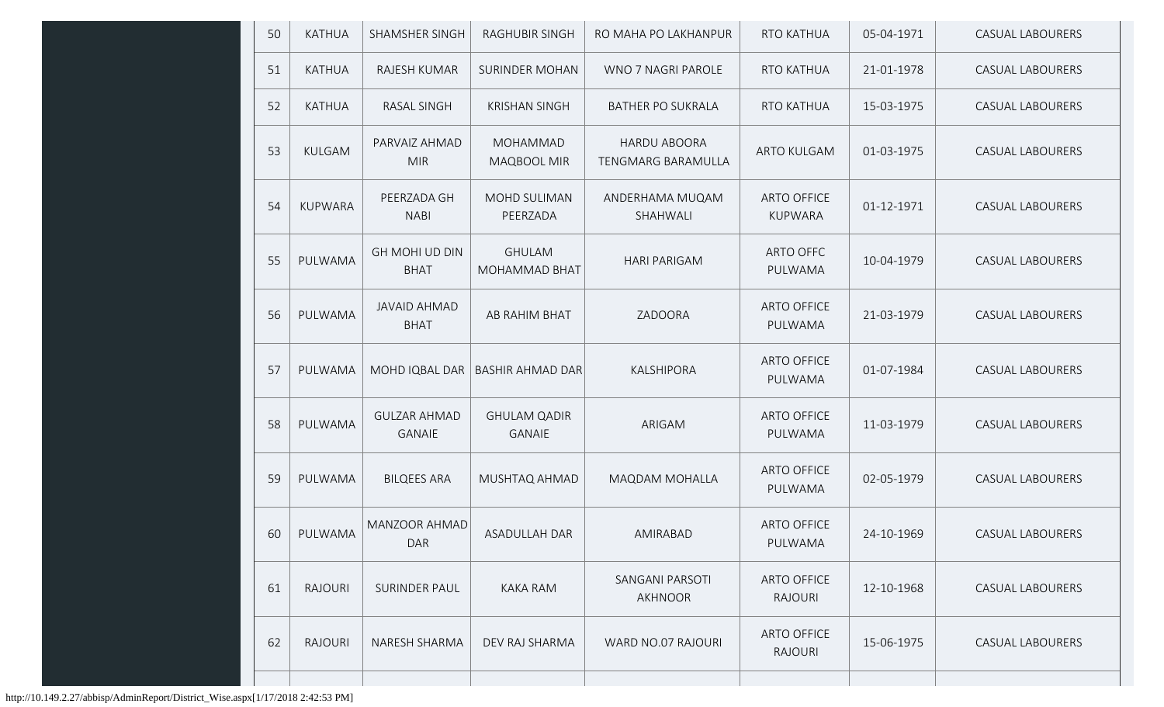| 50 | <b>KATHUA</b>  | <b>SHAMSHER SINGH</b>                | <b>RAGHUBIR SINGH</b>                 | RO MAHA PO LAKHANPUR                             | <b>RTO KATHUA</b>                    | 05-04-1971 | <b>CASUAL LABOURERS</b> |
|----|----------------|--------------------------------------|---------------------------------------|--------------------------------------------------|--------------------------------------|------------|-------------------------|
| 51 | <b>KATHUA</b>  | RAJESH KUMAR                         | <b>SURINDER MOHAN</b>                 | WNO 7 NAGRI PAROLE                               | <b>RTO KATHUA</b>                    | 21-01-1978 | <b>CASUAL LABOURERS</b> |
| 52 | <b>KATHUA</b>  | <b>RASAL SINGH</b>                   | <b>KRISHAN SINGH</b>                  | <b>BATHER PO SUKRALA</b>                         | <b>RTO KATHUA</b>                    | 15-03-1975 | <b>CASUAL LABOURERS</b> |
| 53 | <b>KULGAM</b>  | PARVAIZ AHMAD<br><b>MIR</b>          | MOHAMMAD<br>MAQBOOL MIR               | <b>HARDU ABOORA</b><br><b>TENGMARG BARAMULLA</b> | <b>ARTO KULGAM</b>                   | 01-03-1975 | <b>CASUAL LABOURERS</b> |
| 54 | <b>KUPWARA</b> | PEERZADA GH<br><b>NABI</b>           | MOHD SULIMAN<br>PEERZADA              | ANDERHAMA MUQAM<br>SHAHWALI                      | <b>ARTO OFFICE</b><br>KUPWARA        | 01-12-1971 | <b>CASUAL LABOURERS</b> |
| 55 | PULWAMA        | <b>GH MOHI UD DIN</b><br><b>BHAT</b> | <b>GHULAM</b><br><b>MOHAMMAD BHAT</b> | <b>HARI PARIGAM</b>                              | ARTO OFFC<br>PULWAMA                 | 10-04-1979 | <b>CASUAL LABOURERS</b> |
| 56 | PULWAMA        | <b>JAVAID AHMAD</b><br><b>BHAT</b>   | AB RAHIM BHAT                         | ZADOORA                                          | <b>ARTO OFFICE</b><br>PULWAMA        | 21-03-1979 | <b>CASUAL LABOURERS</b> |
| 57 | PULWAMA        | MOHD IQBAL DAR                       | <b>BASHIR AHMAD DAR</b>               | KALSHIPORA                                       | <b>ARTO OFFICE</b><br>PULWAMA        | 01-07-1984 | <b>CASUAL LABOURERS</b> |
| 58 | PULWAMA        | <b>GULZAR AHMAD</b><br><b>GANAIE</b> | <b>GHULAM QADIR</b><br><b>GANAIE</b>  | ARIGAM                                           | <b>ARTO OFFICE</b><br>PULWAMA        | 11-03-1979 | <b>CASUAL LABOURERS</b> |
| 59 | PULWAMA        | <b>BILQEES ARA</b>                   | MUSHTAQ AHMAD                         | <b>MAQDAM MOHALLA</b>                            | <b>ARTO OFFICE</b><br>PULWAMA        | 02-05-1979 | <b>CASUAL LABOURERS</b> |
| 60 | PULWAMA        | MANZOOR AHMAD<br><b>DAR</b>          | ASADULLAH DAR                         | AMIRABAD                                         | <b>ARTO OFFICE</b><br>PULWAMA        | 24-10-1969 | <b>CASUAL LABOURERS</b> |
| 61 | <b>RAJOURI</b> | <b>SURINDER PAUL</b>                 | <b>KAKA RAM</b>                       | SANGANI PARSOTI<br>AKHNOOR                       | <b>ARTO OFFICE</b><br><b>RAJOURI</b> | 12-10-1968 | <b>CASUAL LABOURERS</b> |
| 62 | <b>RAJOURI</b> | NARESH SHARMA                        | DEV RAJ SHARMA                        | WARD NO.07 RAJOURI                               | <b>ARTO OFFICE</b><br><b>RAJOURI</b> | 15-06-1975 | <b>CASUAL LABOURERS</b> |
|    |                |                                      |                                       |                                                  |                                      |            |                         |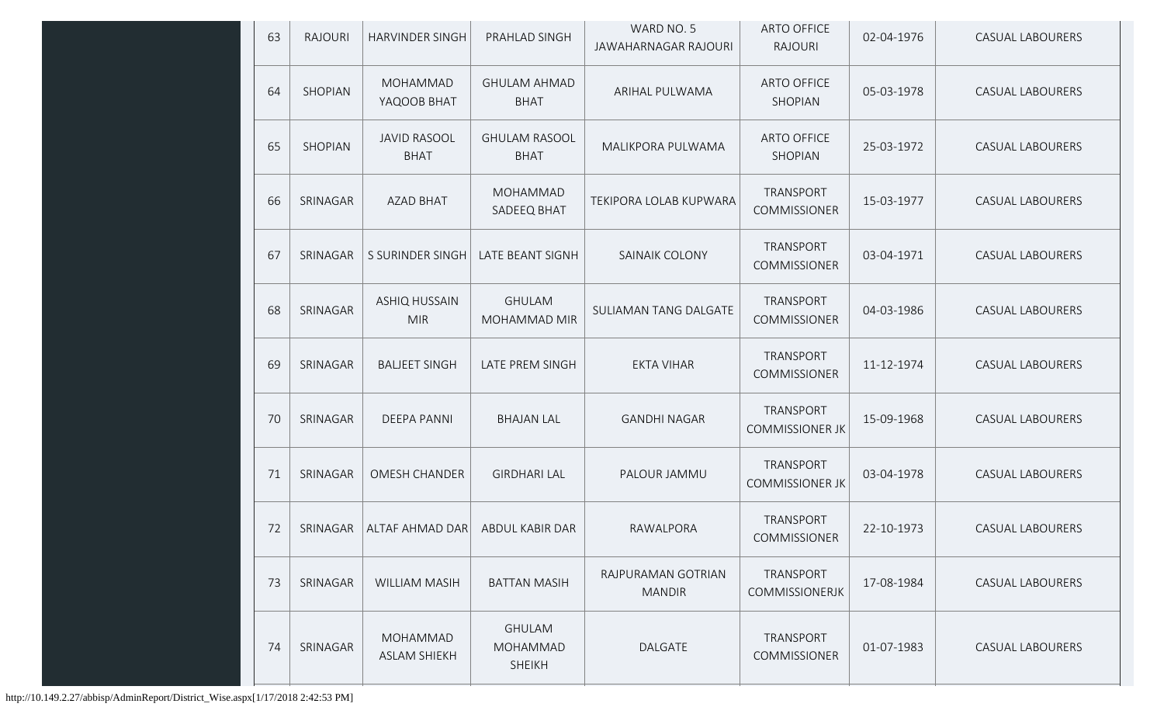| 63 | <b>RAJOURI</b> | <b>HARVINDER SINGH</b>             | PRAHLAD SINGH                              | WARD NO. 5<br>JAWAHARNAGAR RAJOURI  | <b>ARTO OFFICE</b><br><b>RAJOURI</b> | 02-04-1976 | <b>CASUAL LABOURERS</b> |
|----|----------------|------------------------------------|--------------------------------------------|-------------------------------------|--------------------------------------|------------|-------------------------|
| 64 | <b>SHOPIAN</b> | MOHAMMAD<br>YAQOOB BHAT            | <b>GHULAM AHMAD</b><br><b>BHAT</b>         | ARIHAL PULWAMA                      | <b>ARTO OFFICE</b><br>SHOPIAN        | 05-03-1978 | <b>CASUAL LABOURERS</b> |
| 65 | SHOPIAN        | <b>JAVID RASOOL</b><br><b>BHAT</b> | <b>GHULAM RASOOL</b><br><b>BHAT</b>        | MALIKPORA PULWAMA                   | <b>ARTO OFFICE</b><br>SHOPIAN        | 25-03-1972 | <b>CASUAL LABOURERS</b> |
| 66 | SRINAGAR       | <b>AZAD BHAT</b>                   | MOHAMMAD<br>SADEEQ BHAT                    | TEKIPORA LOLAB KUPWARA              | TRANSPORT<br>COMMISSIONER            | 15-03-1977 | <b>CASUAL LABOURERS</b> |
| 67 | SRINAGAR       | S SURINDER SINGH                   | <b>LATE BEANT SIGNH</b>                    | SAINAIK COLONY                      | TRANSPORT<br><b>COMMISSIONER</b>     | 03-04-1971 | <b>CASUAL LABOURERS</b> |
| 68 | SRINAGAR       | <b>ASHIQ HUSSAIN</b><br><b>MIR</b> | <b>GHULAM</b><br>MOHAMMAD MIR              | SULIAMAN TANG DALGATE               | TRANSPORT<br><b>COMMISSIONER</b>     | 04-03-1986 | <b>CASUAL LABOURERS</b> |
| 69 | SRINAGAR       | <b>BALJEET SINGH</b>               | LATE PREM SINGH                            | <b>EKTA VIHAR</b>                   | TRANSPORT<br><b>COMMISSIONER</b>     | 11-12-1974 | <b>CASUAL LABOURERS</b> |
| 70 | SRINAGAR       | <b>DEEPA PANNI</b>                 | <b>BHAJAN LAL</b>                          | <b>GANDHI NAGAR</b>                 | TRANSPORT<br><b>COMMISSIONER JK</b>  | 15-09-1968 | <b>CASUAL LABOURERS</b> |
| 71 | SRINAGAR       | <b>OMESH CHANDER</b>               | <b>GIRDHARI LAL</b>                        | PALOUR JAMMU                        | TRANSPORT<br><b>COMMISSIONER JK</b>  | 03-04-1978 | <b>CASUAL LABOURERS</b> |
| 72 | SRINAGAR       | ALTAF AHMAD DAR                    | ABDUL KABIR DAR                            | RAWALPORA                           | TRANSPORT<br>COMMISSIONER            | 22-10-1973 | <b>CASUAL LABOURERS</b> |
| 73 | SRINAGAR       | <b>WILLIAM MASIH</b>               | <b>BATTAN MASIH</b>                        | RAJPURAMAN GOTRIAN<br><b>MANDIR</b> | TRANSPORT<br>COMMISSIONERJK          | 17-08-1984 | <b>CASUAL LABOURERS</b> |
| 74 | SRINAGAR       | MOHAMMAD<br><b>ASLAM SHIEKH</b>    | <b>GHULAM</b><br>MOHAMMAD<br><b>SHEIKH</b> | DALGATE                             | TRANSPORT<br>COMMISSIONER            | 01-07-1983 | <b>CASUAL LABOURERS</b> |